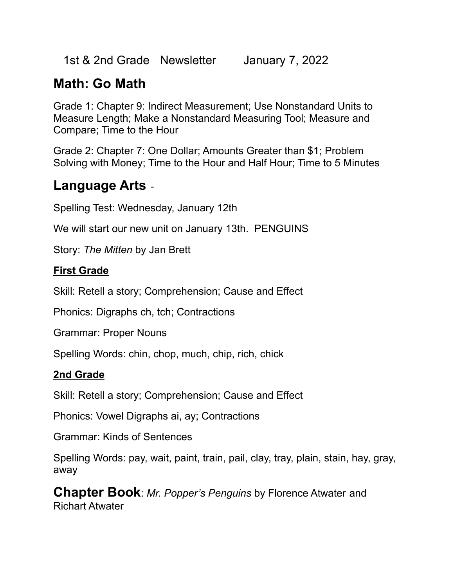1st & 2nd Grade Newsletter January 7, 2022

### **Math: Go Math**

Grade 1: Chapter 9: Indirect Measurement; Use Nonstandard Units to Measure Length; Make a Nonstandard Measuring Tool; Measure and Compare; Time to the Hour

Grade 2: Chapter 7: One Dollar; Amounts Greater than \$1; Problem Solving with Money; Time to the Hour and Half Hour; Time to 5 Minutes

#### **Language Arts** -

Spelling Test: Wednesday, January 12th

We will start our new unit on January 13th. PENGUINS

Story: *The Mitten* by Jan Brett

#### **First Grade**

Skill: Retell a story; Comprehension; Cause and Effect

Phonics: Digraphs ch, tch; Contractions

Grammar: Proper Nouns

Spelling Words: chin, chop, much, chip, rich, chick

#### **2nd Grade**

Skill: Retell a story; Comprehension; Cause and Effect

Phonics: Vowel Digraphs ai, ay; Contractions

Grammar: Kinds of Sentences

Spelling Words: pay, wait, paint, train, pail, clay, tray, plain, stain, hay, gray, away

**Chapter Book**: *Mr. Popper's Penguins* by Florence Atwater and Richart Atwater